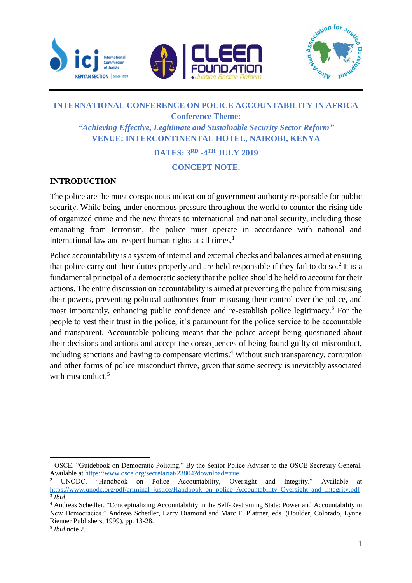





## **INTERNATIONAL CONFERENCE ON POLICE ACCOUNTABILITY IN AFRICA Conference Theme:** *"Achieving Effective, Legitimate and Sustainable Security Sector Reform"* **VENUE: INTERCONTINENTAL HOTEL, NAIROBI, KENYA**

# **DATES: 3RD -4 TH JULY 2019**

#### **CONCEPT NOTE.**

## **INTRODUCTION**

The police are the most conspicuous indication of government authority responsible for public security. While being under enormous pressure throughout the world to counter the rising tide of organized crime and the new threats to international and national security, including those emanating from terrorism, the police must operate in accordance with national and international law and respect human rights at all times.<sup>1</sup>

Police accountability is a system of internal and external checks and balances aimed at ensuring that police carry out their duties properly and are held responsible if they fail to do so.<sup>2</sup> It is a fundamental principal of a democratic society that the police should be held to account for their actions. The entire discussion on accountability is aimed at preventing the police from misusing their powers, preventing political authorities from misusing their control over the police, and most importantly, enhancing public confidence and re-establish police legitimacy.<sup>3</sup> For the people to vest their trust in the police, it's paramount for the police service to be accountable and transparent. Accountable policing means that the police accept being questioned about their decisions and actions and accept the consequences of being found guilty of misconduct, including sanctions and having to compensate victims.<sup>4</sup> Without such transparency, corruption and other forms of police misconduct thrive, given that some secrecy is inevitably associated with misconduct.<sup>5</sup>

 $\overline{a}$ <sup>1</sup> OSCE. "Guidebook on Democratic Policing." By the Senior Police Adviser to the OSCE Secretary General. Available at<https://www.osce.org/secretariat/23804?download=true><br><sup>2</sup> UNODC. "Handbook on Police Accountability, Ove

on Police Accountability, Oversight and Integrity." Available at [https://www.unodc.org/pdf/criminal\\_justice/Handbook\\_on\\_police\\_Accountability\\_Oversight\\_and\\_Integrity.pdf](https://www.unodc.org/pdf/criminal_justice/Handbook_on_police_Accountability_Oversight_and_Integrity.pdf) 3 *Ibid.*

<sup>4</sup> Andreas Schedler. "Conceptualizing Accountability in the Self-Restraining State: Power and Accountability in New Democracies." Andreas Schedler, Larry Diamond and Marc F. Plattner, eds. (Boulder, Colorado, Lynne Rienner Publishers, 1999), pp. 13-28.

<sup>5</sup> *Ibid* note 2.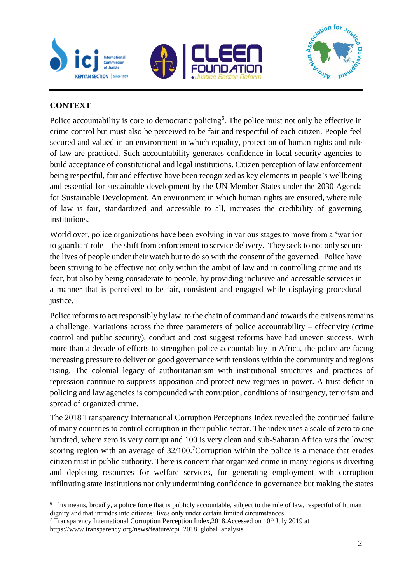





## **CONTEXT**

Police accountability is core to democratic policing<sup>6</sup>. The police must not only be effective in crime control but must also be perceived to be fair and respectful of each citizen. People feel secured and valued in an environment in which equality, protection of human rights and rule of law are practiced. Such accountability generates confidence in local security agencies to build acceptance of constitutional and legal institutions. Citizen perception of law enforcement being respectful, fair and effective have been recognized as key elements in people's wellbeing and essential for sustainable development by the UN Member States under the 2030 Agenda for Sustainable Development. An environment in which human rights are ensured, where rule of law is fair, standardized and accessible to all, increases the credibility of governing institutions.

World over, police organizations have been evolving in various stages to move from a 'warrior to guardian' role—the shift from enforcement to service delivery. They seek to not only secure the lives of people under their watch but to do so with the consent of the governed. Police have been striving to be effective not only within the ambit of law and in controlling crime and its fear, but also by being considerate to people, by providing inclusive and accessible services in a manner that is perceived to be fair, consistent and engaged while displaying procedural justice.

Police reforms to act responsibly by law, to the chain of command and towards the citizens remains a challenge. Variations across the three parameters of police accountability – effectivity (crime control and public security), conduct and cost suggest reforms have had uneven success. With more than a decade of efforts to strengthen police accountability in Africa, the police are facing increasing pressure to deliver on good governance with tensions within the community and regions rising. The colonial legacy of authoritarianism with institutional structures and practices of repression continue to suppress opposition and protect new regimes in power. A trust deficit in policing and law agencies is compounded with corruption, conditions of insurgency, terrorism and spread of organized crime.

The 2018 Transparency International Corruption Perceptions Index revealed the continued failure of many countries to control corruption in their public sector. The index uses a scale of zero to one hundred, where zero is very corrupt and 100 is very clean and sub-Saharan Africa was the lowest scoring region with an average of  $32/100$ .<sup>7</sup>Corruption within the police is a menace that erodes citizen trust in public authority. There is concern that organized crime in many regions is diverting and depleting resources for welfare services, for generating employment with corruption infiltrating state institutions not only undermining confidence in governance but making the states

l <sup>6</sup> This means, broadly, a police force that is publicly accountable, subject to the rule of law, respectful of human dignity and that intrudes into citizens' lives only under certain limited circumstances.

<sup>&</sup>lt;sup>7</sup> Transparency International Corruption Perception Index,  $2018$ . Accessed on  $10<sup>th</sup>$  July 2019 at

[https://www.transparency.org/news/feature/cpi\\_2018\\_global\\_analysis](https://www.transparency.org/news/feature/cpi_2018_global_analysis)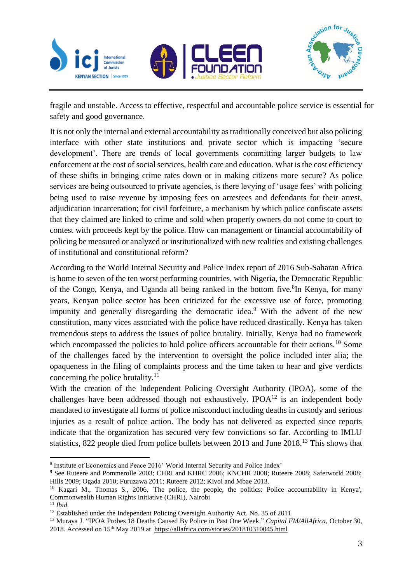





fragile and unstable. Access to effective, respectful and accountable police service is essential for safety and good governance.

It is not only the internal and external accountability as traditionally conceived but also policing interface with other state institutions and private sector which is impacting 'secure development'. There are trends of local governments committing larger budgets to law enforcement at the cost of social services, health care and education. What is the cost efficiency of these shifts in bringing crime rates down or in making citizens more secure? As police services are being outsourced to private agencies, is there levying of 'usage fees' with policing being used to raise revenue by imposing fees on arrestees and defendants for their arrest, adjudication incarceration; for civil forfeiture, a mechanism by which police confiscate assets that they claimed are linked to crime and sold when property owners do not come to court to contest with proceeds kept by the police. How can management or financial accountability of policing be measured or analyzed or institutionalized with new realities and existing challenges of institutional and constitutional reform?

According to the World Internal Security and Police Index report of 2016 Sub-Saharan Africa is home to seven of the ten worst performing countries, with Nigeria, the Democratic Republic of the Congo, Kenya, and Uganda all being ranked in the bottom five.<sup>8</sup>In Kenya, for many years, Kenyan police sector has been criticized for the excessive use of force, promoting impunity and generally disregarding the democratic idea.<sup>9</sup> With the advent of the new constitution, many vices associated with the police have reduced drastically. Kenya has taken tremendous steps to address the issues of police brutality. Initially, Kenya had no framework which encompassed the policies to hold police officers accountable for their actions.<sup>10</sup> Some of the challenges faced by the intervention to oversight the police included inter alia; the opaqueness in the filing of complaints process and the time taken to hear and give verdicts concerning the police brutality. $^{11}$ 

With the creation of the Independent Policing Oversight Authority (IPOA), some of the challenges have been addressed though not exhaustively. IPOA<sup>12</sup> is an independent body mandated to investigate all forms of police misconduct including deaths in custody and serious injuries as a result of police action. The body has not delivered as expected since reports indicate that the organization has secured very few convictions so far. According to IMLU statistics, 822 people died from police bullets between 2013 and June 2018.<sup>13</sup> This shows that

 $\overline{a}$ <sup>8</sup> Institute of Economics and Peace 2016' World Internal Security and Police Index'

<sup>&</sup>lt;sup>9</sup> See Ruteere and Pommerolle 2003; CHRI and KHRC 2006; KNCHR 2008; Ruteere 2008; Saferworld 2008; Hills 2009; Ogada 2010; Furuzawa 2011; Ruteere 2012; Kivoi and Mbae 2013.

<sup>10</sup> Kagari M., Thomas S., 2006, 'The police, the people, the politics: Police accountability in Kenya', Commonwealth Human Rights Initiative (CHRI), Nairobi

<sup>11</sup> *Ibid.*

<sup>&</sup>lt;sup>12</sup> Established under the Independent Policing Oversight Authority Act. No. 35 of 2011

<sup>13</sup> Muraya J. "IPOA Probes 18 Deaths Caused By Police in Past One Week." *Capital FM/AllAfrica,* October 30, 2018. Accessed on 15th May 2019 at <https://allafrica.com/stories/201810310045.html>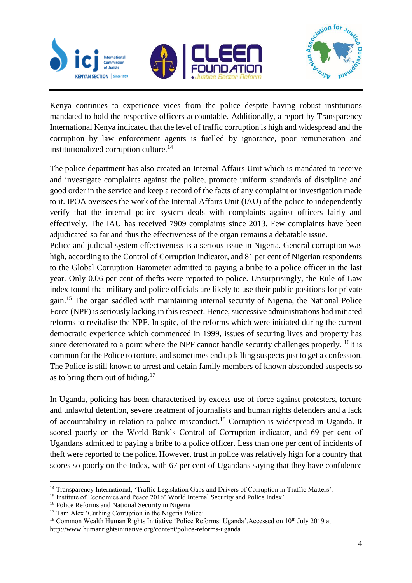





Kenya continues to experience vices from the police despite having robust institutions mandated to hold the respective officers accountable. Additionally, a report by Transparency International Kenya indicated that the level of traffic corruption is high and widespread and the corruption by law enforcement agents is fuelled by ignorance, poor remuneration and institutionalized corruption culture.<sup>14</sup>

The police department has also created an Internal Affairs Unit which is mandated to receive and investigate complaints against the police, promote uniform standards of discipline and good order in the service and keep a record of the facts of any complaint or investigation made to it. IPOA oversees the work of the Internal Affairs Unit (IAU) of the police to independently verify that the internal police system deals with complaints against officers fairly and effectively. The IAU has received 7909 complaints since 2013. Few complaints have been adjudicated so far and thus the effectiveness of the organ remains a debatable issue.

Police and judicial system effectiveness is a serious issue in Nigeria. General corruption was high, according to the Control of Corruption indicator, and 81 per cent of Nigerian respondents to the Global Corruption Barometer admitted to paying a bribe to a police officer in the last year. Only 0.06 per cent of thefts were reported to police. Unsurprisingly, the Rule of Law index found that military and police officials are likely to use their public positions for private gain.<sup>15</sup> The organ saddled with maintaining internal security of Nigeria, the National Police Force (NPF) is seriously lacking in this respect. Hence, successive administrations had initiated reforms to revitalise the NPF. In spite, of the reforms which were initiated during the current democratic experience which commenced in 1999, issues of securing lives and property has since deteriorated to a point where the NPF cannot handle security challenges properly. <sup>16</sup>It is common for the Police to torture, and sometimes end up killing suspects just to get a confession. The Police is still known to arrest and detain family members of known absconded suspects so as to bring them out of hiding. $17$ 

In Uganda, policing has been characterised by excess use of force against protesters, torture and unlawful detention, severe treatment of journalists and human rights defenders and a lack of accountability in relation to police misconduct.<sup>18</sup> Corruption is widespread in Uganda. It scored poorly on the World Bank's Control of Corruption indicator, and 69 per cent of Ugandans admitted to paying a bribe to a police officer. Less than one per cent of incidents of theft were reported to the police. However, trust in police was relatively high for a country that scores so poorly on the Index, with 67 per cent of Ugandans saying that they have confidence

 $\overline{a}$ <sup>14</sup> Transparency International, 'Traffic Legislation Gaps and Drivers of Corruption in Traffic Matters'.

<sup>&</sup>lt;sup>15</sup> Institute of Economics and Peace 2016' World Internal Security and Police Index'

<sup>16</sup> Police Reforms and National Security in Nigeria

<sup>&</sup>lt;sup>17</sup> Tam Alex 'Curbing Corruption in the Nigeria Police'

<sup>&</sup>lt;sup>18</sup> Common Wealth Human Rights Initiative 'Police Reforms: Uganda'.Accessed on 10<sup>th</sup> July 2019 at <http://www.humanrightsinitiative.org/content/police-reforms-uganda>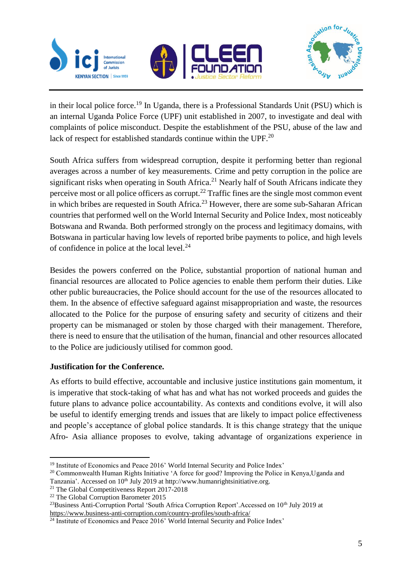





in their local police force.<sup>19</sup> In Uganda, there is a Professional Standards Unit (PSU) which is an internal Uganda Police Force (UPF) unit established in 2007, to investigate and deal with complaints of police misconduct. Despite the establishment of the PSU, abuse of the law and lack of respect for established standards continue within the UPF.<sup>20</sup>

South Africa suffers from widespread corruption, despite it performing better than regional averages across a number of key measurements. Crime and [petty corruption](https://www.business-anti-corruption.com/about/about-corruption/vocabulary.aspx#Petty) in the police are significant risks when operating in South Africa.<sup>21</sup> Nearly half of South Africans indicate they perceive most or all police officers as corrupt.<sup>22</sup> Traffic fines are the single most common event in which bribes are requested in South Africa. <sup>23</sup> However, there are some sub-Saharan African countries that performed well on the World Internal Security and Police Index, most noticeably Botswana and Rwanda. Both performed strongly on the process and legitimacy domains, with Botswana in particular having low levels of reported bribe payments to police, and high levels of confidence in police at the local level.<sup>24</sup>

Besides the powers conferred on the Police, substantial proportion of national human and financial resources are allocated to Police agencies to enable them perform their duties. Like other public bureaucracies, the Police should account for the use of the resources allocated to them. In the absence of effective safeguard against misappropriation and waste, the resources allocated to the Police for the purpose of ensuring safety and security of citizens and their property can be mismanaged or stolen by those charged with their management. Therefore, there is need to ensure that the utilisation of the human, financial and other resources allocated to the Police are judiciously utilised for common good.

## **Justification for the Conference.**

As efforts to build effective, accountable and inclusive justice institutions gain momentum, it is imperative that stock-taking of what has and what has not worked proceeds and guides the future plans to advance police accountability. As contexts and conditions evolve, it will also be useful to identify emerging trends and issues that are likely to impact police effectiveness and people's acceptance of global police standards. It is this change strategy that the unique Afro- Asia alliance proposes to evolve, taking advantage of organizations experience in

 $\overline{a}$ <sup>19</sup> Institute of Economics and Peace 2016' World Internal Security and Police Index'

<sup>&</sup>lt;sup>20</sup> Commonwealth Human Rights Initiative 'A force for good? Improving the Police in Kenya, Uganda and Tanzania'. Accessed on 10<sup>th</sup> July 2019 at http://www.humanrightsinitiative.org.

<sup>&</sup>lt;sup>21</sup> The Global Competitiveness Report 2017-2018

<sup>22</sup> The Global Corruption Barometer 2015

<sup>&</sup>lt;sup>23</sup>Business Anti-Corruption Portal 'South Africa Corruption Report'.Accessed on 10<sup>th</sup> July 2019 at <https://www.business-anti-corruption.com/country-profiles/south-africa/>

<sup>&</sup>lt;sup>24</sup> Institute of Economics and Peace 2016' World Internal Security and Police Index'